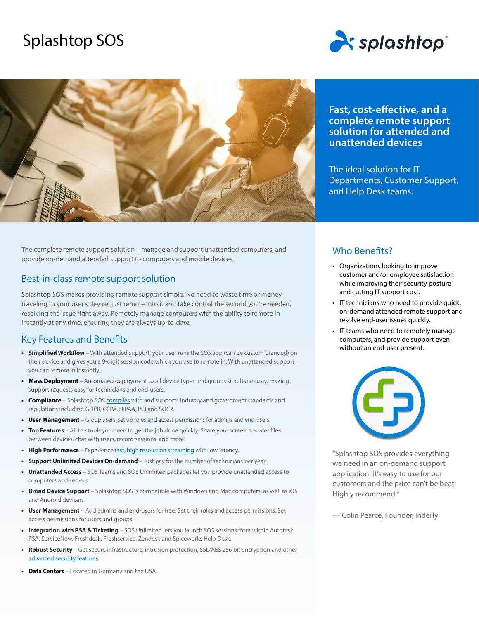# Splashtop SOS





The complete remote support solution – manage and support unattended computers, and provide on-demand attended support to computers and mobile devices.

### Best-in-class remote support solution

Splashtop SOS makes providing remote support simple. No need to waste time or money traveling to your user's device, just remote into it and take control the second you're needed, resolving the issue right away. Remotely manage computers with the ability to remote in instantly at any time, ensuring they are always up-to-date.

### Key Features and Benefits

- **• Simplified Workflow** With attended support, your user runs the SOS app (can be custom branded) on their device and gives you a 9-digit session code which you use to remote in. With unattended support, you can remote in instantly.
- **• Mass Deployment** Automated deployment to all device types and groups simultaneously, making support requests easy for technicians and end-users.
- **• Compliance** Splashtop SOS [complies](https://www.splashtop.com/security/compliance) with and supports industry and government standards and regulations including GDPR, CCPA, HIPAA, PCI and SOC2.
- User Management Group users, set up roles and access permissions for admins and end-users.
- **• Top Features** All the tools you need to get the job done quickly. Share your screen, transfer files between devices, chat with users, record sessions, and more.
- High Performance Experience [fast, high resolution streaming](https://www.splashtop.com/features/high-performance) with low latency.
- **• Support Unlimited Devices On-demand** Just pay for the number of technicians per year.
- **• Unattended Access** SOS Teams and SOS Unlimited packages let you provide unattended access to computers and servers.
- **• Broad Device Support** Splashtop SOS is compatible with Windows and Mac computers, as well as iOS and Android devices.
- **• User Management** Add admins and end-users for free. Set their roles and access permissions. Set access permissions for users and groups.
- **• Integration with PSA & Ticketing** SOS Unlimited lets you launch SOS sessions from within Autotask PSA, ServiceNow, Freshdesk, Freshservice, Zendesk and Spiceworks Help Desk.
- **• Robust Security** Get secure infrastructure, intrusion protection, SSL/AES 256 bit encryption and other [advanced security features](https://www.splashtop.com/security-features).
- **• Data Centers** Located in Germany and the USA.

## **Fast, cost-effective, and a complete remote support solution for attended and unattended devices**

The ideal solution for IT Departments, Customer Support, and Help Desk teams.

### Who Benefits?

- Organizations looking to improve customer and/or employee satisfaction while improving their security posture and cutting IT support cost.
- IT technicians who need to provide quick, on-demand attended remote support and resolve end-user issues quickly.
- IT teams who need to remotely manage computers, and provide support even without an end-user present.



"Splashtop SOS provides everything we need in an on-demand support application. It's easy to use for our customers and the price can't be beat. Highly recommend!"

— Colin Pearce, Founder, Inderly